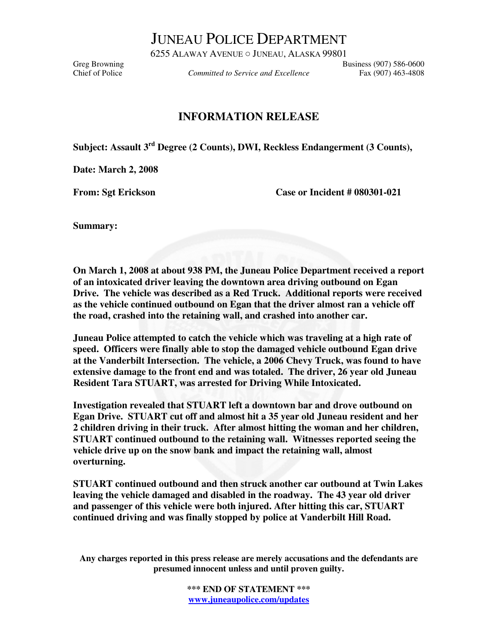JUNEAU POLICE DEPARTMENT

6255 ALAWAY AVENUE ○ JUNEAU, ALASKA 99801 Greg Browning<br>Committed to Service and Excellence Business (907) 586-0600<br>Chief of Police Committed to Service and Excellence Fax (907) 463-4808

Committed to Service and Excellence Fax (907) 463-4808

## **INFORMATION RELEASE**

**Subject: Assault 3rd Degree (2 Counts), DWI, Reckless Endangerment (3 Counts),** 

**Date: March 2, 2008** 

From: Sgt Erickson Case or Incident # 080301-021

**Summary:** 

**On March 1, 2008 at about 938 PM, the Juneau Police Department received a report of an intoxicated driver leaving the downtown area driving outbound on Egan Drive. The vehicle was described as a Red Truck. Additional reports were received as the vehicle continued outbound on Egan that the driver almost ran a vehicle off the road, crashed into the retaining wall, and crashed into another car.** 

**Juneau Police attempted to catch the vehicle which was traveling at a high rate of speed. Officers were finally able to stop the damaged vehicle outbound Egan drive at the Vanderbilt Intersection. The vehicle, a 2006 Chevy Truck, was found to have extensive damage to the front end and was totaled. The driver, 26 year old Juneau Resident Tara STUART, was arrested for Driving While Intoxicated.** 

**Investigation revealed that STUART left a downtown bar and drove outbound on Egan Drive. STUART cut off and almost hit a 35 year old Juneau resident and her 2 children driving in their truck. After almost hitting the woman and her children, STUART continued outbound to the retaining wall. Witnesses reported seeing the vehicle drive up on the snow bank and impact the retaining wall, almost overturning.** 

**STUART continued outbound and then struck another car outbound at Twin Lakes leaving the vehicle damaged and disabled in the roadway. The 43 year old driver and passenger of this vehicle were both injured. After hitting this car, STUART continued driving and was finally stopped by police at Vanderbilt Hill Road.** 

**Any charges reported in this press release are merely accusations and the defendants are presumed innocent unless and until proven guilty.** 

> **\*\*\* END OF STATEMENT \*\*\* www.juneaupolice.com/updates**